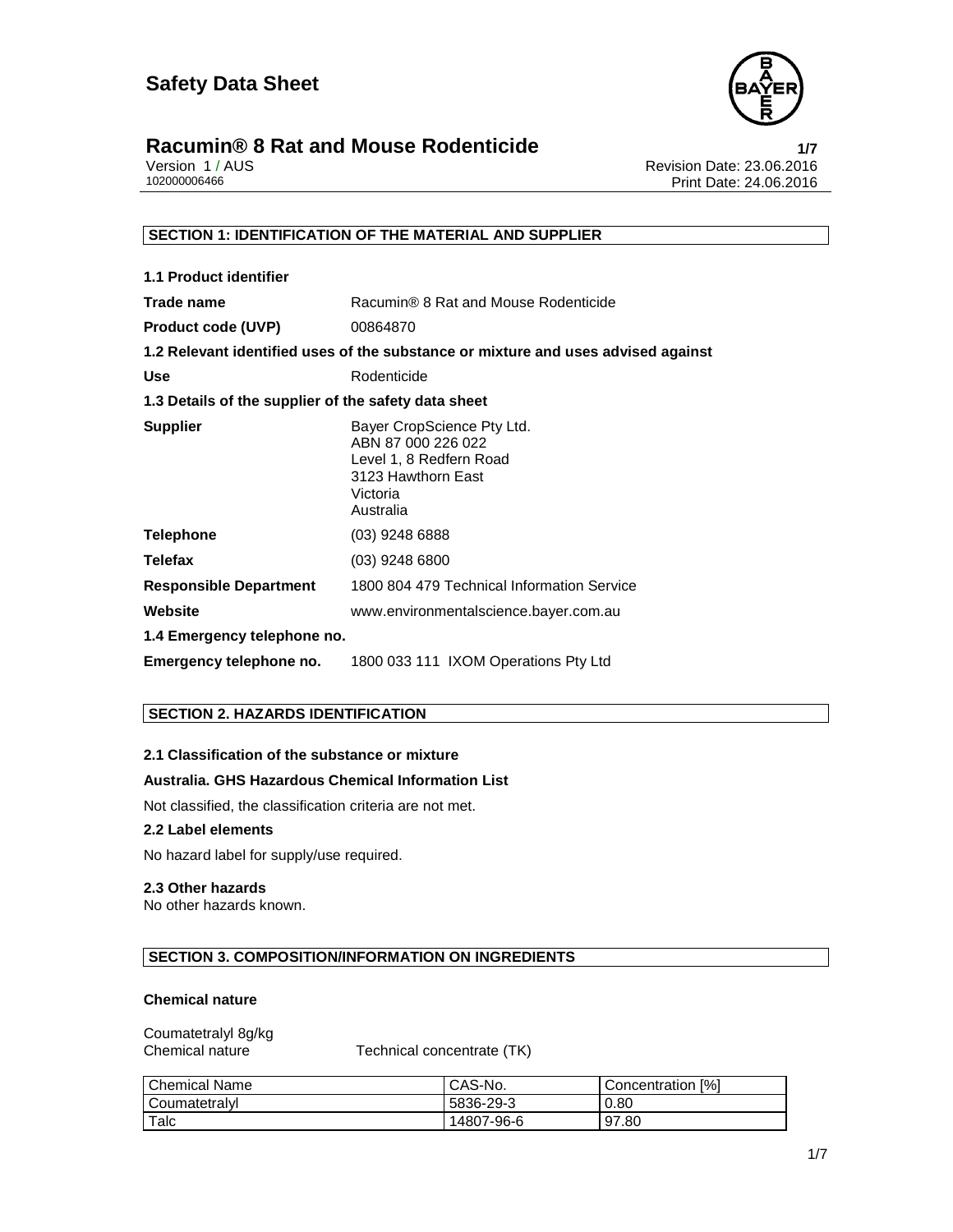

# **Racumin® 8 Rat and Mouse Rodenticide**<br>
Version 1/AUS<br>
Revision Date: 23.06.2016

Version 1 / AUS Revision Date: 23.06.2016 Print Date: 24.06.2016

#### **SECTION 1: IDENTIFICATION OF THE MATERIAL AND SUPPLIER**

| <b>1.1 Product identifier</b>                        |                                                                                                                            |  |
|------------------------------------------------------|----------------------------------------------------------------------------------------------------------------------------|--|
| Trade name                                           | Racumin® 8 Rat and Mouse Rodenticide                                                                                       |  |
| <b>Product code (UVP)</b>                            | 00864870                                                                                                                   |  |
|                                                      | 1.2 Relevant identified uses of the substance or mixture and uses advised against                                          |  |
| <b>Use</b>                                           | Rodenticide                                                                                                                |  |
| 1.3 Details of the supplier of the safety data sheet |                                                                                                                            |  |
| <b>Supplier</b>                                      | Bayer CropScience Pty Ltd.<br>ABN 87 000 226 022<br>Level 1, 8 Redfern Road<br>3123 Hawthorn East<br>Victoria<br>Australia |  |
| <b>Telephone</b>                                     | $(03)$ 9248 6888                                                                                                           |  |
| <b>Telefax</b>                                       | $(03)$ 9248 6800                                                                                                           |  |
| <b>Responsible Department</b>                        | 1800 804 479 Technical Information Service                                                                                 |  |
| Website                                              | www.environmentalscience.bayer.com.au                                                                                      |  |
| 1.4 Emergency telephone no.                          |                                                                                                                            |  |
| Emergency telephone no.                              | 1800 033 111 IXOM Operations Pty Ltd                                                                                       |  |

#### **SECTION 2. HAZARDS IDENTIFICATION**

#### **2.1 Classification of the substance or mixture**

#### **Australia. GHS Hazardous Chemical Information List**

Not classified, the classification criteria are not met.

#### **2.2 Label elements**

No hazard label for supply/use required.

#### **2.3 Other hazards**

No other hazards known.

#### **SECTION 3. COMPOSITION/INFORMATION ON INGREDIENTS**

#### **Chemical nature**

| Coumatetralyl 8g/kg |  |
|---------------------|--|
| Chemical nature     |  |

Chemical nature Technical concentrate (TK)

| l Chemical Name | CAS-No.    | Concentration [%] |
|-----------------|------------|-------------------|
| l Coumatetralvl | 5836-29-3  | 0.80              |
| Talc            | 14807-96-6 | 97.80             |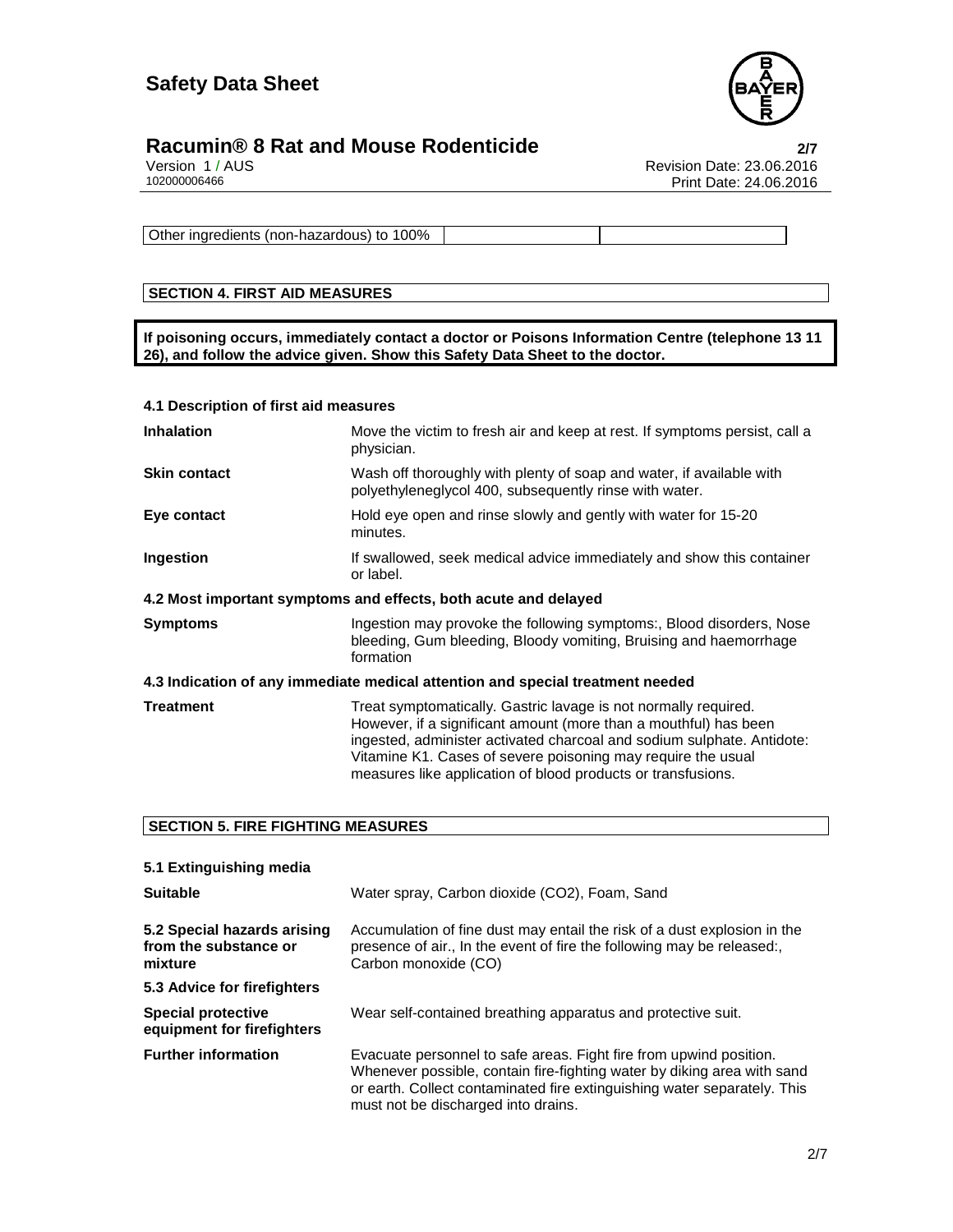

# **Racumin® 8 Rat and Mouse Rodenticide**<br>
Version 1/AUS<br>
Revision Date: 23.06.2016

Version 1 / AUS Revision Date: 23.06.2016 Print Date: 24.06.2016

Other ingredients (non-hazardous) to 100%

#### **SECTION 4. FIRST AID MEASURES**

**If poisoning occurs, immediately contact a doctor or Poisons Information Centre (telephone 13 11 26), and follow the advice given. Show this Safety Data Sheet to the doctor.** 

#### **4.1 Description of first aid measures**

| <b>Inhalation</b>                                                              | Move the victim to fresh air and keep at rest. If symptoms persist, call a<br>physician.                                                                                                                                                                                                                                                      |  |
|--------------------------------------------------------------------------------|-----------------------------------------------------------------------------------------------------------------------------------------------------------------------------------------------------------------------------------------------------------------------------------------------------------------------------------------------|--|
| <b>Skin contact</b>                                                            | Wash off thoroughly with plenty of soap and water, if available with<br>polyethyleneglycol 400, subsequently rinse with water.                                                                                                                                                                                                                |  |
| Eye contact                                                                    | Hold eye open and rinse slowly and gently with water for 15-20<br>minutes.                                                                                                                                                                                                                                                                    |  |
| Ingestion                                                                      | If swallowed, seek medical advice immediately and show this container<br>or label.                                                                                                                                                                                                                                                            |  |
| 4.2 Most important symptoms and effects, both acute and delayed                |                                                                                                                                                                                                                                                                                                                                               |  |
| <b>Symptoms</b>                                                                | Ingestion may provoke the following symptoms:, Blood disorders, Nose<br>bleeding, Gum bleeding, Bloody vomiting, Bruising and haemorrhage<br>formation                                                                                                                                                                                        |  |
| 4.3 Indication of any immediate medical attention and special treatment needed |                                                                                                                                                                                                                                                                                                                                               |  |
| <b>Treatment</b>                                                               | Treat symptomatically. Gastric lavage is not normally required.<br>However, if a significant amount (more than a mouthful) has been<br>ingested, administer activated charcoal and sodium sulphate. Antidote:<br>Vitamine K1. Cases of severe poisoning may require the usual<br>measures like application of blood products or transfusions. |  |

#### **SECTION 5. FIRE FIGHTING MEASURES**

| 5.1 Extinguishing media                                         |                                                                                                                                                                                                                                                                  |
|-----------------------------------------------------------------|------------------------------------------------------------------------------------------------------------------------------------------------------------------------------------------------------------------------------------------------------------------|
| <b>Suitable</b>                                                 | Water spray, Carbon dioxide (CO2), Foam, Sand                                                                                                                                                                                                                    |
| 5.2 Special hazards arising<br>from the substance or<br>mixture | Accumulation of fine dust may entail the risk of a dust explosion in the<br>presence of air., In the event of fire the following may be released:,<br>Carbon monoxide (CO)                                                                                       |
| 5.3 Advice for firefighters                                     |                                                                                                                                                                                                                                                                  |
| <b>Special protective</b><br>equipment for firefighters         | Wear self-contained breathing apparatus and protective suit.                                                                                                                                                                                                     |
| <b>Further information</b>                                      | Evacuate personnel to safe areas. Fight fire from upwind position.<br>Whenever possible, contain fire-fighting water by diking area with sand<br>or earth. Collect contaminated fire extinguishing water separately. This<br>must not be discharged into drains. |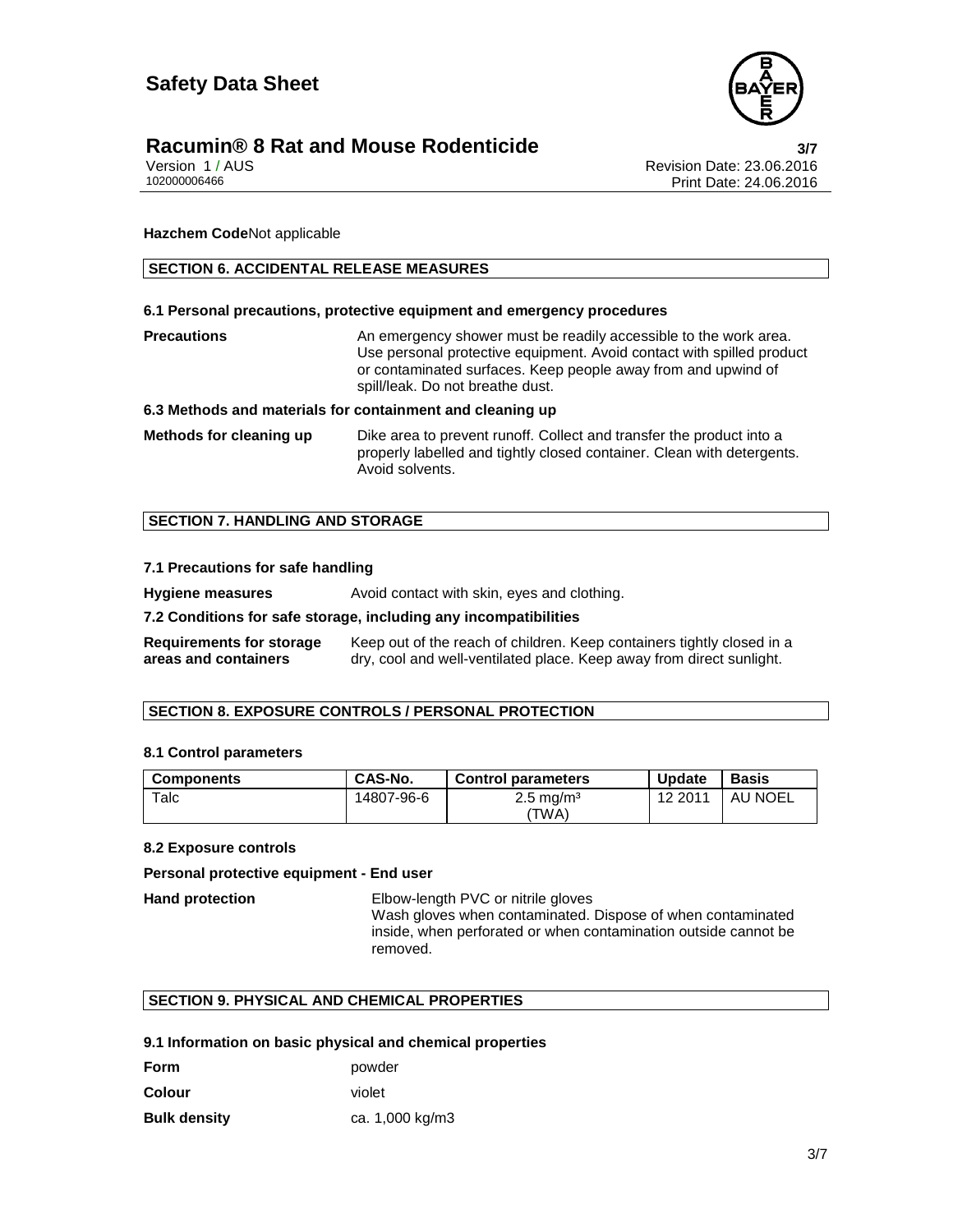

# **Racumin® 8 Rat and Mouse Rodenticide 3/7**

Version 1 / AUS Revision Date: 23.06.2016 Print Date: 24.06.2016

**Hazchem Code**Not applicable

#### **SECTION 6. ACCIDENTAL RELEASE MEASURES**

#### **6.1 Personal precautions, protective equipment and emergency procedures**

**Precautions An emergency shower must be readily accessible to the work area.** Use personal protective equipment. Avoid contact with spilled product or contaminated surfaces. Keep people away from and upwind of spill/leak. Do not breathe dust.

#### **6.3 Methods and materials for containment and cleaning up**

**Methods for cleaning up** Dike area to prevent runoff. Collect and transfer the product into a properly labelled and tightly closed container. Clean with detergents. Avoid solvents.

#### **SECTION 7. HANDLING AND STORAGE**

#### **7.1 Precautions for safe handling**

**Hygiene measures** Avoid contact with skin, eyes and clothing.

#### **7.2 Conditions for safe storage, including any incompatibilities**

**Requirements for storage areas and containers** Keep out of the reach of children. Keep containers tightly closed in a dry, cool and well-ventilated place. Keep away from direct sunlight.

#### **SECTION 8. EXPOSURE CONTROLS / PERSONAL PROTECTION**

#### **8.1 Control parameters**

| <b>Components</b> | CAS-No.    | <b>Control parameters</b>        | <b>Update</b> | <b>Basis</b> |
|-------------------|------------|----------------------------------|---------------|--------------|
| $\tau$ alc        | 14807-96-6 | $2.5 \,\mathrm{mg/m^3}$<br>'TWA) | 12 2011       | AU NOEL      |

#### **8.2 Exposure controls**

#### **Personal protective equipment - End user**

**Hand protection** Elbow-length PVC or nitrile gloves Wash gloves when contaminated. Dispose of when contaminated inside, when perforated or when contamination outside cannot be removed.

#### **SECTION 9. PHYSICAL AND CHEMICAL PROPERTIES**

#### **9.1 Information on basic physical and chemical properties**

| <b>Form</b>         | powder          |
|---------------------|-----------------|
| <b>Colour</b>       | violet          |
| <b>Bulk density</b> | ca. 1,000 kg/m3 |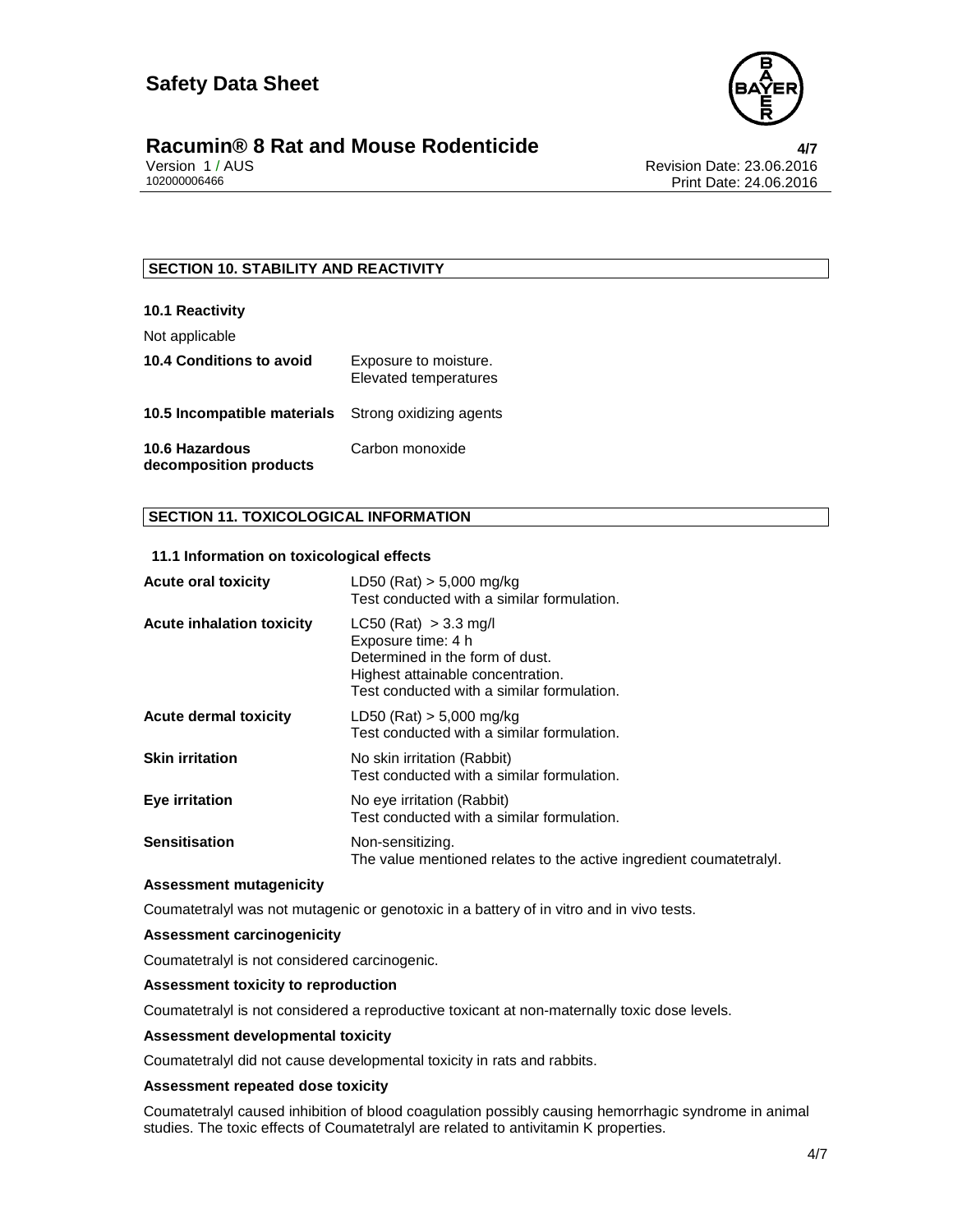

### **Racumin® 8 Rat and Mouse Rodenticide 4/7**

Version 1 / AUS Revision Date: 23.06.2016 Print Date: 24.06.2016

#### **SECTION 10. STABILITY AND REACTIVITY**

#### **10.1 Reactivity**

Not applicable

| <b>10.4 Conditions to avoid</b>                     | Exposure to moisture.<br><b>Elevated temperatures</b> |
|-----------------------------------------------------|-------------------------------------------------------|
| 10.5 Incompatible materials Strong oxidizing agents |                                                       |
| 10.6 Hazardous<br>decomposition products            | Carbon monoxide                                       |

#### **SECTION 11. TOXICOLOGICAL INFORMATION**

#### **11.1 Information on toxicological effects**

| <b>Acute oral toxicity</b>       | LD50 (Rat) $> 5,000$ mg/kg<br>Test conducted with a similar formulation.                                                                                              |
|----------------------------------|-----------------------------------------------------------------------------------------------------------------------------------------------------------------------|
| <b>Acute inhalation toxicity</b> | $LC50$ (Rat) $> 3.3$ mg/l<br>Exposure time: 4 h<br>Determined in the form of dust.<br>Highest attainable concentration.<br>Test conducted with a similar formulation. |
| <b>Acute dermal toxicity</b>     | $LD50$ (Rat) $> 5,000$ mg/kg<br>Test conducted with a similar formulation.                                                                                            |
| <b>Skin irritation</b>           | No skin irritation (Rabbit)<br>Test conducted with a similar formulation.                                                                                             |
| Eye irritation                   | No eye irritation (Rabbit)<br>Test conducted with a similar formulation.                                                                                              |
| <b>Sensitisation</b>             | Non-sensitizing.<br>The value mentioned relates to the active ingredient coumatetraly.                                                                                |

#### **Assessment mutagenicity**

Coumatetralyl was not mutagenic or genotoxic in a battery of in vitro and in vivo tests.

#### **Assessment carcinogenicity**

Coumatetralyl is not considered carcinogenic.

#### **Assessment toxicity to reproduction**

Coumatetralyl is not considered a reproductive toxicant at non-maternally toxic dose levels.

#### **Assessment developmental toxicity**

Coumatetralyl did not cause developmental toxicity in rats and rabbits.

#### **Assessment repeated dose toxicity**

Coumatetralyl caused inhibition of blood coagulation possibly causing hemorrhagic syndrome in animal studies. The toxic effects of Coumatetralyl are related to antivitamin K properties.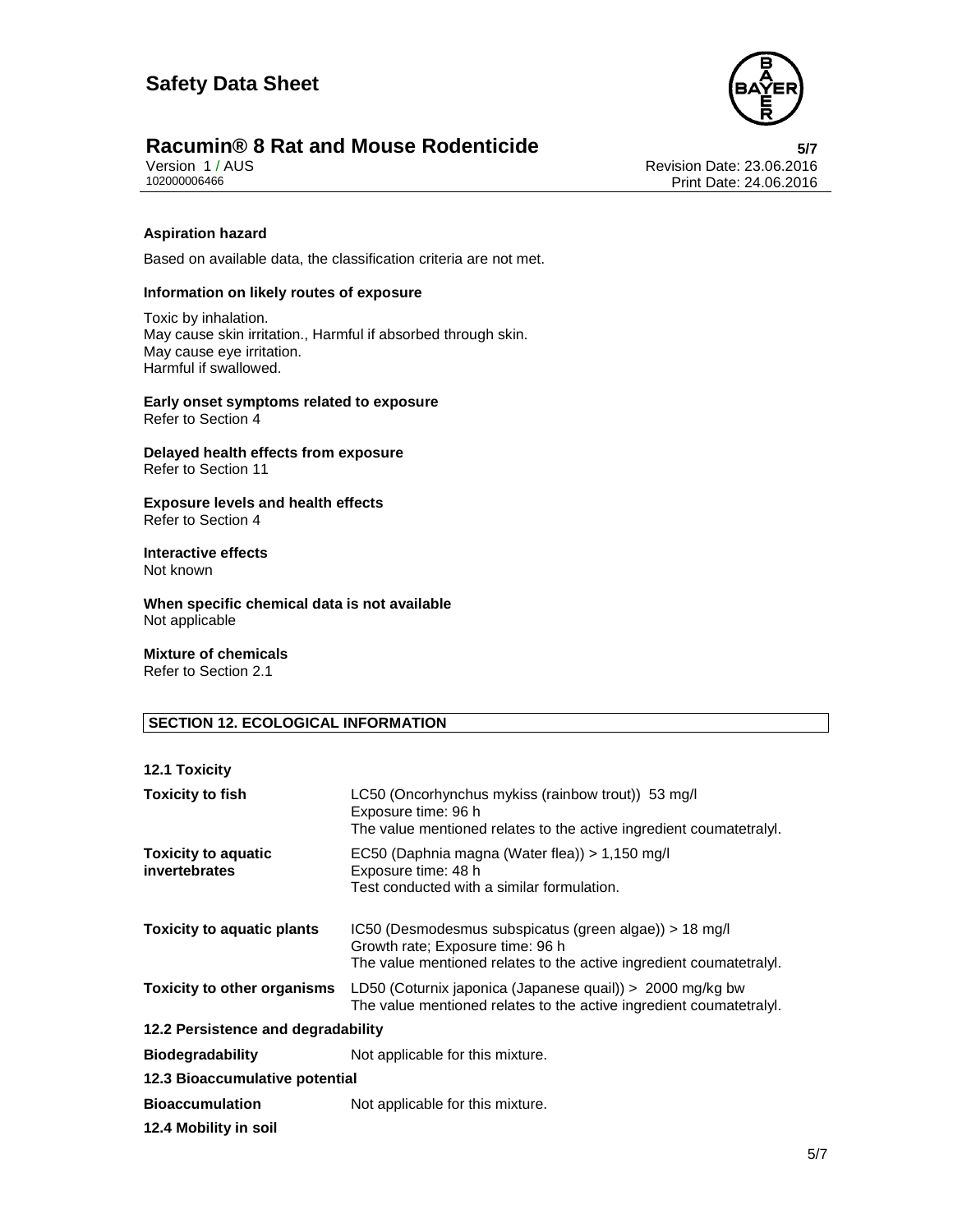

# **Racumin® 8 Rat and Mouse Rodenticide 5/7**

Version 1 / AUS Revision Date: 23.06.2016 Print Date: 24.06.2016

#### **Aspiration hazard**

Based on available data, the classification criteria are not met.

#### **Information on likely routes of exposure**

Toxic by inhalation. May cause skin irritation., Harmful if absorbed through skin. May cause eye irritation. Harmful if swallowed.

**Early onset symptoms related to exposure**  Refer to Section 4

**Delayed health effects from exposure**  Refer to Section 11

**Exposure levels and health effects**  Refer to Section 4

# **Interactive effects**

Not known

**When specific chemical data is not available**  Not applicable

#### **Mixture of chemicals**

Refer to Section 2.1

#### **SECTION 12. ECOLOGICAL INFORMATION**

#### **12.1 Toxicity**

| <b>Toxicity to fish</b>                     | LC50 (Oncorhynchus mykiss (rainbow trout)) 53 mg/l<br>Exposure time: 96 h<br>The value mentioned relates to the active ingredient coumatetralyl.                    |  |
|---------------------------------------------|---------------------------------------------------------------------------------------------------------------------------------------------------------------------|--|
| <b>Toxicity to aquatic</b><br>invertebrates | EC50 (Daphnia magna (Water flea)) > 1,150 mg/l<br>Exposure time: 48 h<br>Test conducted with a similar formulation.                                                 |  |
| <b>Toxicity to aquatic plants</b>           | $IC50$ (Desmodesmus subspicatus (green algae)) > 18 mg/l<br>Growth rate; Exposure time: 96 h<br>The value mentioned relates to the active ingredient coumatetralyl. |  |
| <b>Toxicity to other organisms</b>          | LD50 (Coturnix japonica (Japanese quail)) > 2000 mg/kg bw<br>The value mentioned relates to the active ingredient coumatetraly.                                     |  |
| 12.2 Persistence and degradability          |                                                                                                                                                                     |  |
| <b>Biodegradability</b>                     | Not applicable for this mixture.                                                                                                                                    |  |
| 12.3 Bioaccumulative potential              |                                                                                                                                                                     |  |
| <b>Bioaccumulation</b>                      | Not applicable for this mixture.                                                                                                                                    |  |
| 12.4 Mobility in soil                       |                                                                                                                                                                     |  |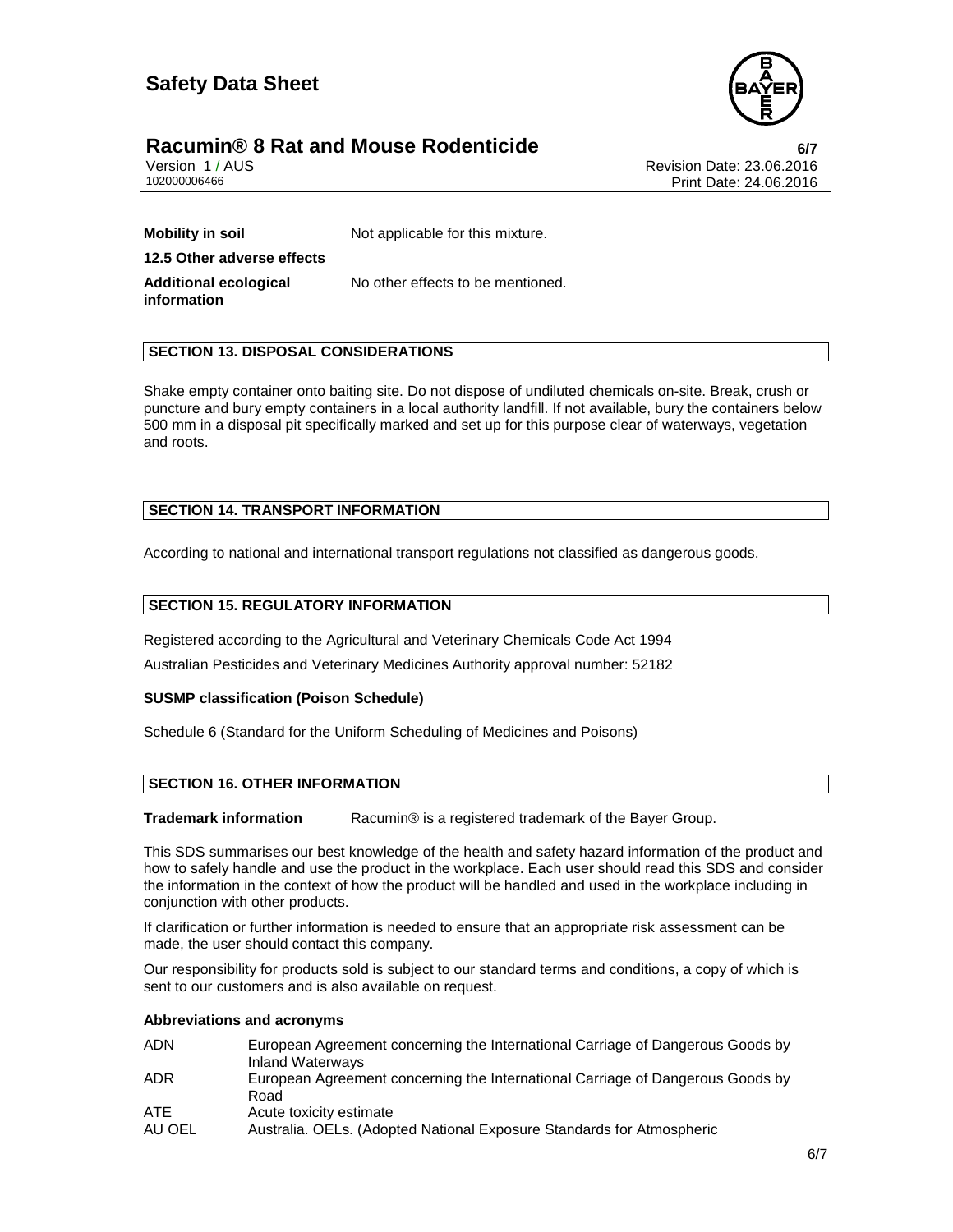

# **Racumin® 8 Rat and Mouse Rodenticide 6/7**

Version 1 / AUS Revision Date: 23.06.2016 Print Date: 24.06.2016

**Mobility in soil** Not applicable for this mixture. **12.5 Other adverse effects Additional ecological information**  No other effects to be mentioned.

#### **SECTION 13. DISPOSAL CONSIDERATIONS**

Shake empty container onto baiting site. Do not dispose of undiluted chemicals on-site. Break, crush or puncture and bury empty containers in a local authority landfill. If not available, bury the containers below 500 mm in a disposal pit specifically marked and set up for this purpose clear of waterways, vegetation and roots.

#### **SECTION 14. TRANSPORT INFORMATION**

According to national and international transport regulations not classified as dangerous goods.

#### **SECTION 15. REGULATORY INFORMATION**

Registered according to the Agricultural and Veterinary Chemicals Code Act 1994

Australian Pesticides and Veterinary Medicines Authority approval number: 52182

#### **SUSMP classification (Poison Schedule)**

Schedule 6 (Standard for the Uniform Scheduling of Medicines and Poisons)

#### **SECTION 16. OTHER INFORMATION**

**Trademark information** Racumin® is a registered trademark of the Bayer Group.

This SDS summarises our best knowledge of the health and safety hazard information of the product and how to safely handle and use the product in the workplace. Each user should read this SDS and consider the information in the context of how the product will be handled and used in the workplace including in conjunction with other products.

If clarification or further information is needed to ensure that an appropriate risk assessment can be made, the user should contact this company.

Our responsibility for products sold is subject to our standard terms and conditions, a copy of which is sent to our customers and is also available on request.

#### **Abbreviations and acronyms**

| ADN    | European Agreement concerning the International Carriage of Dangerous Goods by<br>Inland Waterways |
|--------|----------------------------------------------------------------------------------------------------|
| ADR    | European Agreement concerning the International Carriage of Dangerous Goods by<br>Road             |
| ATE    | Acute toxicity estimate                                                                            |
| AU OEL | Australia. OELs. (Adopted National Exposure Standards for Atmospheric                              |